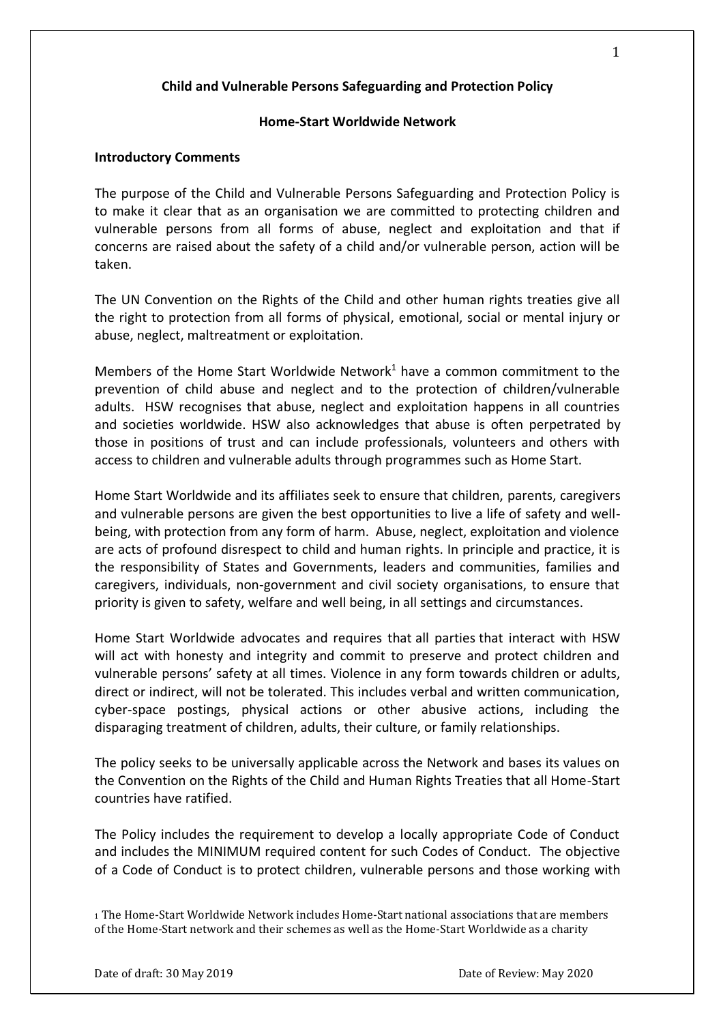# **Child and Vulnerable Persons Safeguarding and Protection Policy**

### **Home-Start Worldwide Network**

### **Introductory Comments**

The purpose of the Child and Vulnerable Persons Safeguarding and Protection Policy is to make it clear that as an organisation we are committed to protecting children and vulnerable persons from all forms of abuse, neglect and exploitation and that if concerns are raised about the safety of a child and/or vulnerable person, action will be taken.

The UN Convention on the Rights of the Child and other human rights treaties give all the right to protection from all forms of physical, emotional, social or mental injury or abuse, neglect, maltreatment or exploitation.

Members of the Home Start Worldwide Network<sup>1</sup> have a common commitment to the prevention of child abuse and neglect and to the protection of children/vulnerable adults. HSW recognises that abuse, neglect and exploitation happens in all countries and societies worldwide. HSW also acknowledges that abuse is often perpetrated by those in positions of trust and can include professionals, volunteers and others with access to children and vulnerable adults through programmes such as Home Start.

Home Start Worldwide and its affiliates seek to ensure that children, parents, caregivers and vulnerable persons are given the best opportunities to live a life of safety and wellbeing, with protection from any form of harm. Abuse, neglect, exploitation and violence are acts of profound disrespect to child and human rights. In principle and practice, it is the responsibility of States and Governments, leaders and communities, families and caregivers, individuals, non-government and civil society organisations, to ensure that priority is given to safety, welfare and well being, in all settings and circumstances.

Home Start Worldwide advocates and requires that all parties that interact with HSW will act with honesty and integrity and commit to preserve and protect children and vulnerable persons' safety at all times. Violence in any form towards children or adults, direct or indirect, will not be tolerated. This includes verbal and written communication, cyber-space postings, physical actions or other abusive actions, including the disparaging treatment of children, adults, their culture, or family relationships.

The policy seeks to be universally applicable across the Network and bases its values on the Convention on the Rights of the Child and Human Rights Treaties that all Home-Start countries have ratified.

The Policy includes the requirement to develop a locally appropriate Code of Conduct and includes the MINIMUM required content for such Codes of Conduct. The objective of a Code of Conduct is to protect children, vulnerable persons and those working with

<sup>1</sup> The Home-Start Worldwide Network includes Home-Start national associations that are members of the Home-Start network and their schemes as well as the Home-Start Worldwide as a charity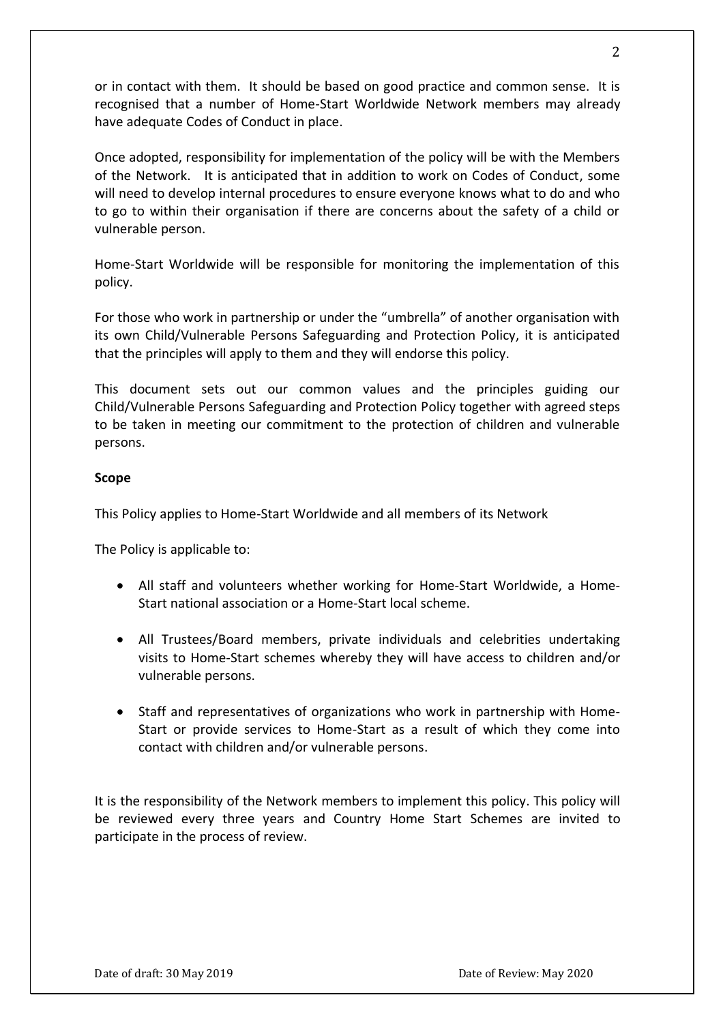or in contact with them. It should be based on good practice and common sense. It is recognised that a number of Home-Start Worldwide Network members may already have adequate Codes of Conduct in place.

Once adopted, responsibility for implementation of the policy will be with the Members of the Network. It is anticipated that in addition to work on Codes of Conduct, some will need to develop internal procedures to ensure everyone knows what to do and who to go to within their organisation if there are concerns about the safety of a child or vulnerable person.

Home-Start Worldwide will be responsible for monitoring the implementation of this policy.

For those who work in partnership or under the "umbrella" of another organisation with its own Child/Vulnerable Persons Safeguarding and Protection Policy, it is anticipated that the principles will apply to them and they will endorse this policy.

This document sets out our common values and the principles guiding our Child/Vulnerable Persons Safeguarding and Protection Policy together with agreed steps to be taken in meeting our commitment to the protection of children and vulnerable persons.

## **Scope**

This Policy applies to Home-Start Worldwide and all members of its Network

The Policy is applicable to:

- All staff and volunteers whether working for Home-Start Worldwide, a Home-Start national association or a Home-Start local scheme.
- All Trustees/Board members, private individuals and celebrities undertaking visits to Home-Start schemes whereby they will have access to children and/or vulnerable persons.
- Staff and representatives of organizations who work in partnership with Home-Start or provide services to Home-Start as a result of which they come into contact with children and/or vulnerable persons.

It is the responsibility of the Network members to implement this policy. This policy will be reviewed every three years and Country Home Start Schemes are invited to participate in the process of review.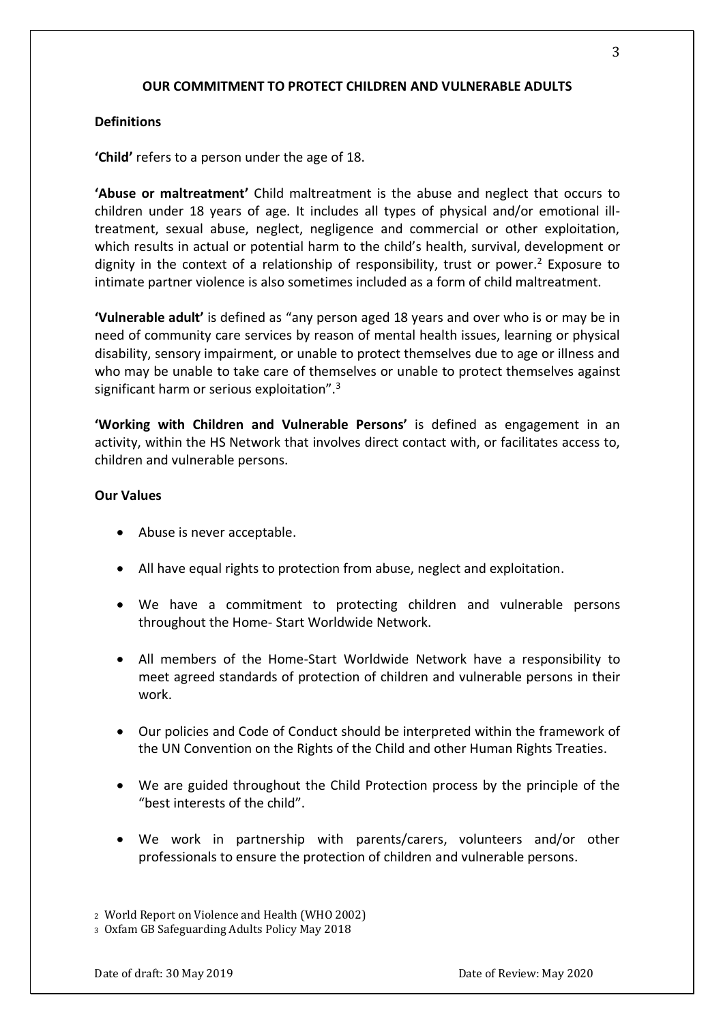# **OUR COMMITMENT TO PROTECT CHILDREN AND VULNERABLE ADULTS**

### **Definitions**

**'Child'** refers to a person under the age of 18.

**'Abuse or maltreatment'** Child maltreatment is the abuse and neglect that occurs to children under 18 years of age. It includes all types of physical and/or emotional illtreatment, sexual abuse, neglect, negligence and commercial or other exploitation, which results in actual or potential harm to the child's health, survival, development or dignity in the context of a relationship of responsibility, trust or power.<sup>2</sup> Exposure to intimate partner violence is also sometimes included as a form of child maltreatment.

**'Vulnerable adult'** is defined as "any person aged 18 years and over who is or may be in need of community care services by reason of mental health issues, learning or physical disability, sensory impairment, or unable to protect themselves due to age or illness and who may be unable to take care of themselves or unable to protect themselves against significant harm or serious exploitation".<sup>3</sup>

**'Working with Children and Vulnerable Persons'** is defined as engagement in an activity, within the HS Network that involves direct contact with, or facilitates access to, children and vulnerable persons.

### **Our Values**

- Abuse is never acceptable.
- All have equal rights to protection from abuse, neglect and exploitation.
- We have a commitment to protecting children and vulnerable persons throughout the Home- Start Worldwide Network.
- All members of the Home-Start Worldwide Network have a responsibility to meet agreed standards of protection of children and vulnerable persons in their work.
- Our policies and Code of Conduct should be interpreted within the framework of the UN Convention on the Rights of the Child and other Human Rights Treaties.
- We are guided throughout the Child Protection process by the principle of the "best interests of the child".
- We work in partnership with parents/carers, volunteers and/or other professionals to ensure the protection of children and vulnerable persons.

<sup>2</sup> World Report on Violence and Health (WHO 2002)

<sup>3</sup> Oxfam GB Safeguarding Adults Policy May 2018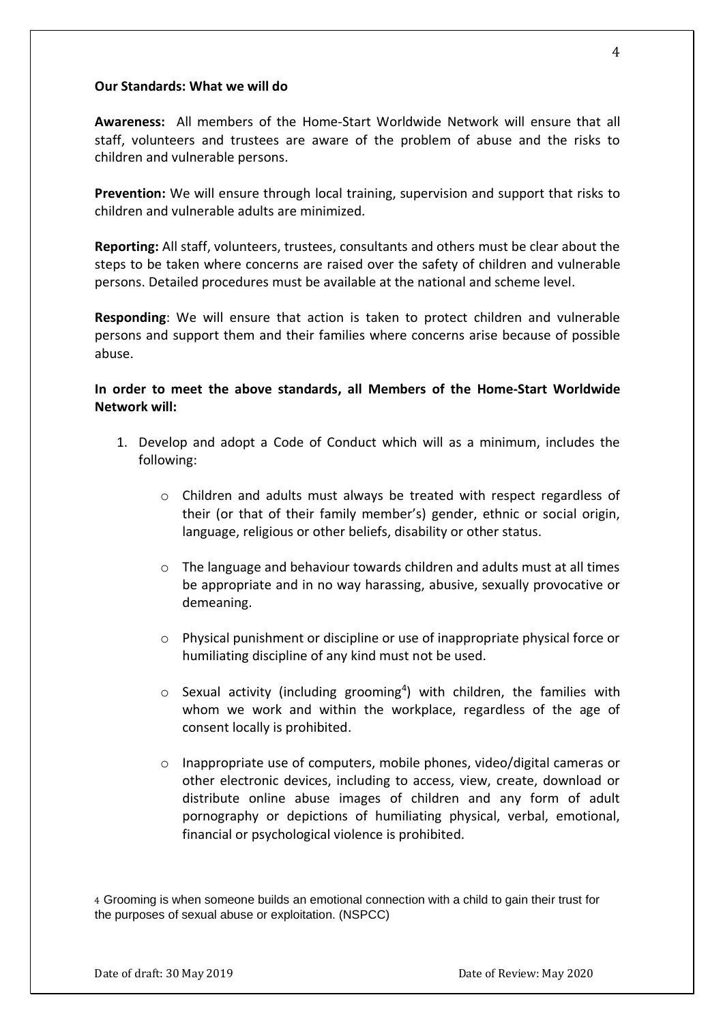### **Our Standards: What we will do**

**Awareness:** All members of the Home-Start Worldwide Network will ensure that all staff, volunteers and trustees are aware of the problem of abuse and the risks to children and vulnerable persons.

**Prevention:** We will ensure through local training, supervision and support that risks to children and vulnerable adults are minimized.

**Reporting:** All staff, volunteers, trustees, consultants and others must be clear about the steps to be taken where concerns are raised over the safety of children and vulnerable persons. Detailed procedures must be available at the national and scheme level.

**Responding**: We will ensure that action is taken to protect children and vulnerable persons and support them and their families where concerns arise because of possible abuse.

**In order to meet the above standards, all Members of the Home-Start Worldwide Network will:**

- 1. Develop and adopt a Code of Conduct which will as a minimum, includes the following:
	- o Children and adults must always be treated with respect regardless of their (or that of their family member's) gender, ethnic or social origin, language, religious or other beliefs, disability or other status.
	- $\circ$  The language and behaviour towards children and adults must at all times be appropriate and in no way harassing, abusive, sexually provocative or demeaning.
	- o Physical punishment or discipline or use of inappropriate physical force or humiliating discipline of any kind must not be used.
	- $\circ$  Sexual activity (including grooming<sup>4</sup>) with children, the families with whom we work and within the workplace, regardless of the age of consent locally is prohibited.
	- $\circ$  Inappropriate use of computers, mobile phones, video/digital cameras or other electronic devices, including to access, view, create, download or distribute online abuse images of children and any form of adult pornography or depictions of humiliating physical, verbal, emotional, financial or psychological violence is prohibited.

4 Grooming is when someone builds an emotional connection with a child to gain their trust for the purposes of sexual abuse or exploitation. (NSPCC)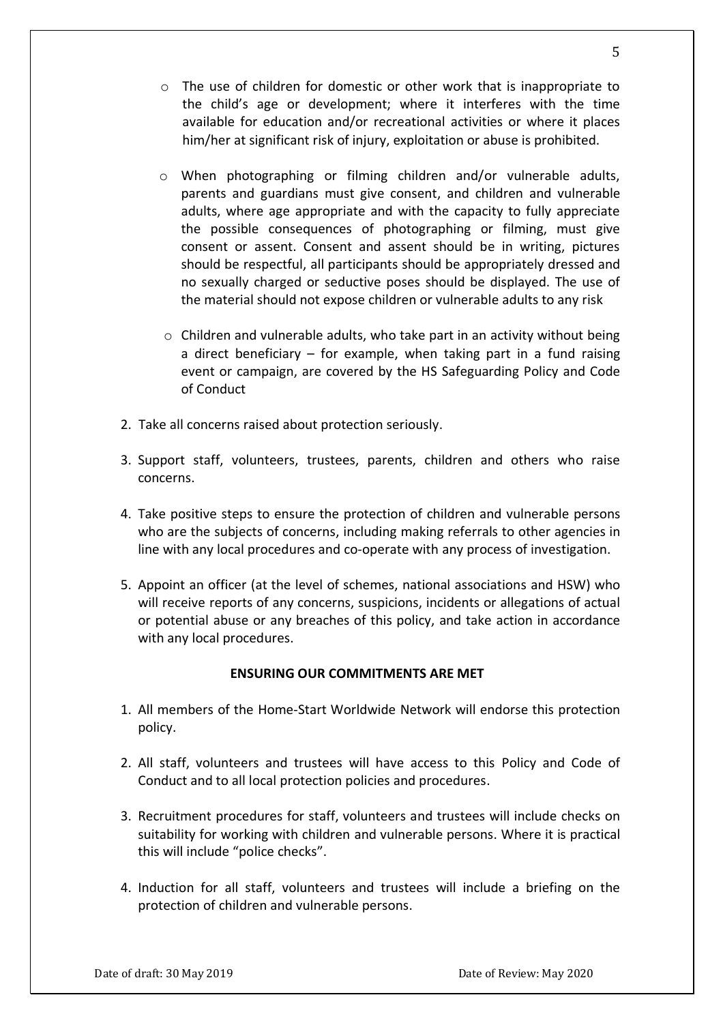- o The use of children for domestic or other work that is inappropriate to the child's age or development; where it interferes with the time available for education and/or recreational activities or where it places him/her at significant risk of injury, exploitation or abuse is prohibited.
- o When photographing or filming children and/or vulnerable adults, parents and guardians must give consent, and children and vulnerable adults, where age appropriate and with the capacity to fully appreciate the possible consequences of photographing or filming, must give consent or assent. Consent and assent should be in writing, pictures should be respectful, all participants should be appropriately dressed and no sexually charged or seductive poses should be displayed. The use of the material should not expose children or vulnerable adults to any risk
- $\circ$  Children and vulnerable adults, who take part in an activity without being a direct beneficiary – for example, when taking part in a fund raising event or campaign, are covered by the HS Safeguarding Policy and Code of Conduct
- 2. Take all concerns raised about protection seriously.
- 3. Support staff, volunteers, trustees, parents, children and others who raise concerns.
- 4. Take positive steps to ensure the protection of children and vulnerable persons who are the subjects of concerns, including making referrals to other agencies in line with any local procedures and co-operate with any process of investigation.
- 5. Appoint an officer (at the level of schemes, national associations and HSW) who will receive reports of any concerns, suspicions, incidents or allegations of actual or potential abuse or any breaches of this policy, and take action in accordance with any local procedures.

### **ENSURING OUR COMMITMENTS ARE MET**

- 1. All members of the Home-Start Worldwide Network will endorse this protection policy.
- 2. All staff, volunteers and trustees will have access to this Policy and Code of Conduct and to all local protection policies and procedures.
- 3. Recruitment procedures for staff, volunteers and trustees will include checks on suitability for working with children and vulnerable persons. Where it is practical this will include "police checks".
- 4. Induction for all staff, volunteers and trustees will include a briefing on the protection of children and vulnerable persons.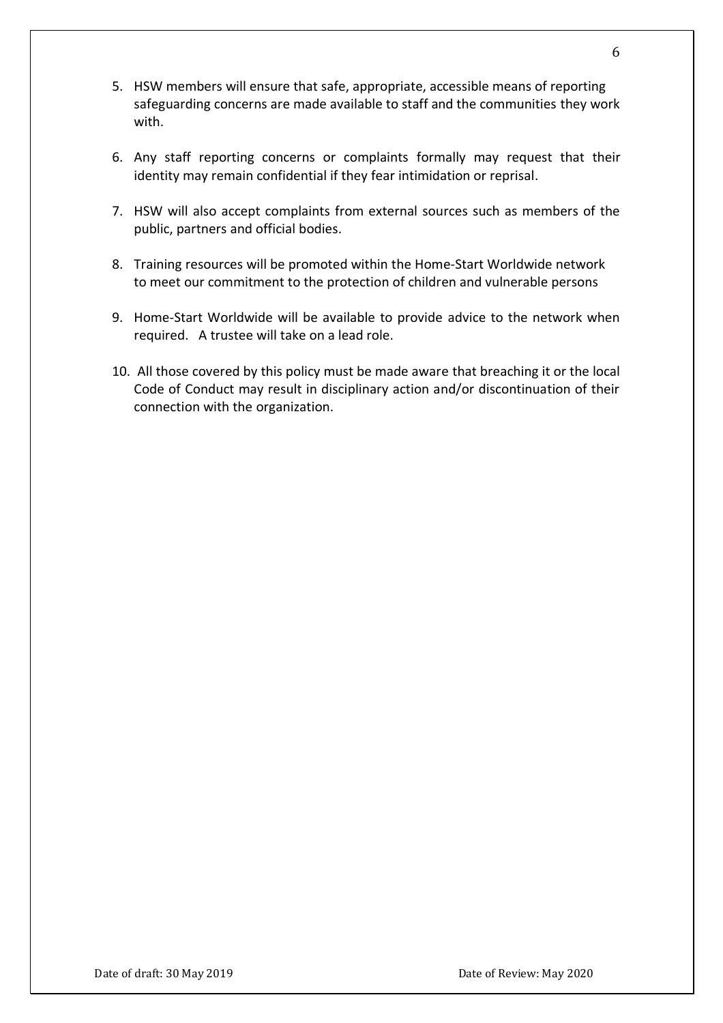- 5. HSW members will ensure that safe, appropriate, accessible means of reporting safeguarding concerns are made available to staff and the communities they work with.
- 6. Any staff reporting concerns or complaints formally may request that their identity may remain confidential if they fear intimidation or reprisal.
- 7. HSW will also accept complaints from external sources such as members of the public, partners and official bodies.
- 8. Training resources will be promoted within the Home-Start Worldwide network to meet our commitment to the protection of children and vulnerable persons
- 9. Home-Start Worldwide will be available to provide advice to the network when required. A trustee will take on a lead role.
- 10. All those covered by this policy must be made aware that breaching it or the local Code of Conduct may result in disciplinary action and/or discontinuation of their connection with the organization.